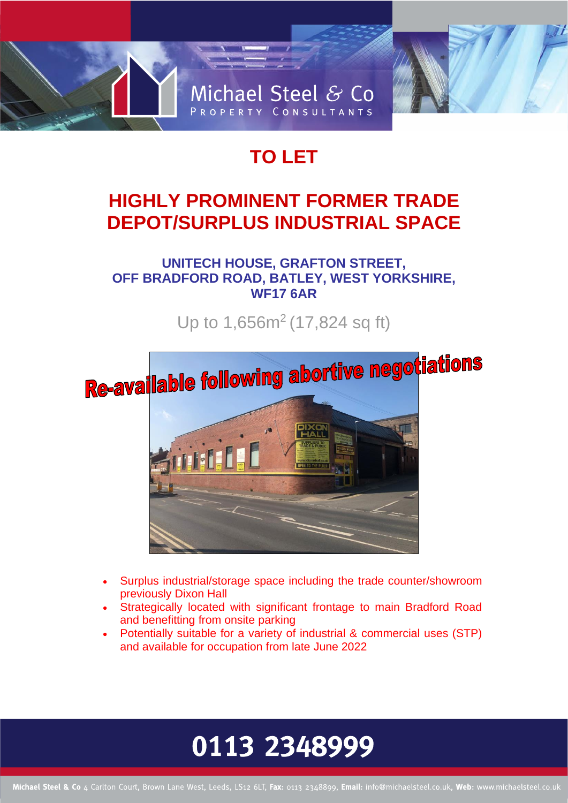

## **TO LET**

## **HIGHLY PROMINENT FORMER TRADE DEPOT/SURPLUS INDUSTRIAL SPACE**

**UNITECH HOUSE, GRAFTON STREET, OFF BRADFORD ROAD, BATLEY, WEST YORKSHIRE, WF17 6AR**

Up to 1,656m<sup>2</sup> (17,824 sq ft)



- Surplus industrial/storage space including the trade counter/showroom previously Dixon Hall
- Strategically located with significant frontage to main Bradford Road and benefitting from onsite parking
- Potentially suitable for a variety of industrial & commercial uses (STP) and available for occupation from late June 2022

# 0113 2348999

Michael Steel & Co 4 Carlton Court, Brown Lane West, Leeds, LS12 6LT, Fax: 0113 2348899, Email: info@michaelsteel.co.uk, Web: www.michaelsteel.co.uk